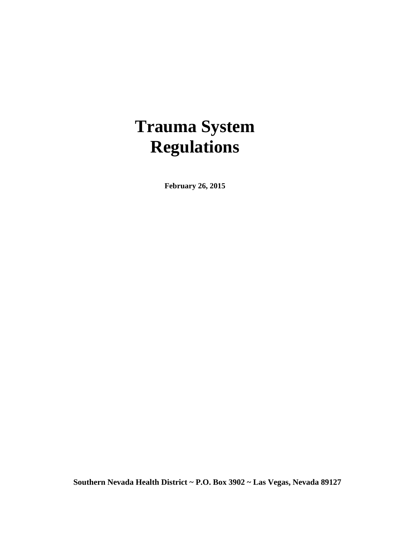# **Trauma System Regulations**

**February 26, 2015**

**Southern Nevada Health District ~ P.O. Box 3902 ~ Las Vegas, Nevada 89127**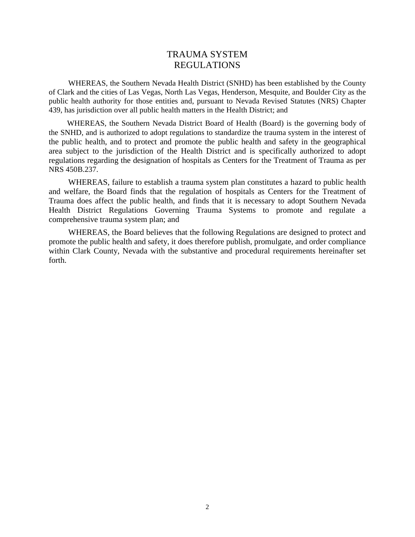#### TRAUMA SYSTEM REGULATIONS

WHEREAS, the Southern Nevada Health District (SNHD) has been established by the County of Clark and the cities of Las Vegas, North Las Vegas, Henderson, Mesquite, and Boulder City as the public health authority for those entities and, pursuant to Nevada Revised Statutes (NRS) Chapter 439, has jurisdiction over all public health matters in the Health District; and

WHEREAS, the Southern Nevada District Board of Health (Board) is the governing body of the SNHD, and is authorized to adopt regulations to standardize the trauma system in the interest of the public health, and to protect and promote the public health and safety in the geographical area subject to the jurisdiction of the Health District and is specifically authorized to adopt regulations regarding the designation of hospitals as Centers for the Treatment of Trauma as per NRS 450B.237.

WHEREAS, failure to establish a trauma system plan constitutes a hazard to public health and welfare, the Board finds that the regulation of hospitals as Centers for the Treatment of Trauma does affect the public health, and finds that it is necessary to adopt Southern Nevada Health District Regulations Governing Trauma Systems to promote and regulate a comprehensive trauma system plan; and

WHEREAS, the Board believes that the following Regulations are designed to protect and promote the public health and safety, it does therefore publish, promulgate, and order compliance within Clark County, Nevada with the substantive and procedural requirements hereinafter set forth.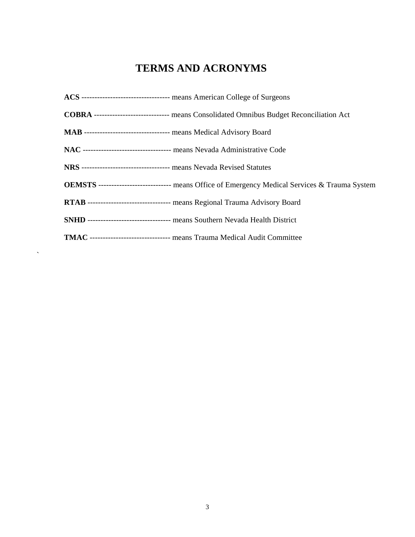# **TERMS AND ACRONYMS**

| ACS ----------------------------------- means American College of Surgeons                            |
|-------------------------------------------------------------------------------------------------------|
| <b>COBRA</b> ------------------------------ means Consolidated Omnibus Budget Reconciliation Act      |
| MAB -------------------------------- means Medical Advisory Board                                     |
| NAC --------------------------------- means Nevada Administrative Code                                |
| NRS ---------------------------------- means Nevada Revised Statutes                                  |
| <b>OEMSTS</b> ---------------------------- means Office of Emergency Medical Services & Trauma System |
| RTAB -------------------------------- means Regional Trauma Advisory Board                            |
| SNHD ------------------------------- means Southern Nevada Health District                            |
| TMAC ------------------------------- means Trauma Medical Audit Committee                             |

 $\sim$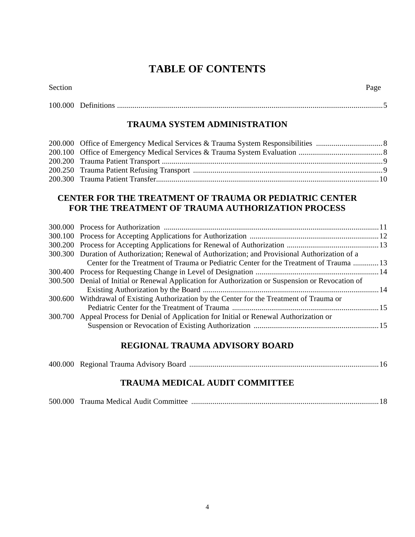# **TABLE OF CONTENTS**

| $\sim$<br>- Jenn |  |
|------------------|--|

Section Page

## **TRAUMA SYSTEM ADMINISTRATION**

#### **CENTER FOR THE TREATMENT OF TRAUMA OR PEDIATRIC CENTER FOR THE TREATMENT OF TRAUMA AUTHORIZATION PROCESS**

| 300.300 Duration of Authorization; Renewal of Authorization; and Provisional Authorization of a   |  |
|---------------------------------------------------------------------------------------------------|--|
| Center for the Treatment of Trauma or Pediatric Center for the Treatment of Trauma  13            |  |
|                                                                                                   |  |
| 300.500 Denial of Initial or Renewal Application for Authorization or Suspension or Revocation of |  |
|                                                                                                   |  |
| 300.600 Withdrawal of Existing Authorization by the Center for the Treatment of Trauma or         |  |
|                                                                                                   |  |
| 300.700 Appeal Process for Denial of Application for Initial or Renewal Authorization or          |  |
|                                                                                                   |  |
|                                                                                                   |  |

# **REGIONAL TRAUMA ADVISORY BOARD**

|--|--|--|--|--|

## **TRAUMA MEDICAL AUDIT COMMITTEE**

|--|--|--|--|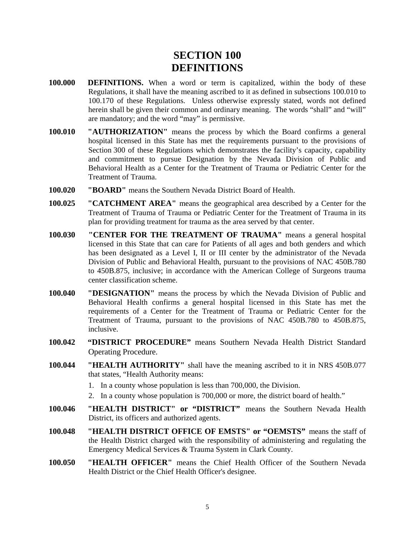# **SECTION 100 DEFINITIONS**

- **100.000 DEFINITIONS.** When a word or term is capitalized, within the body of these Regulations, it shall have the meaning ascribed to it as defined in subsections 100.010 to 100.170 of these Regulations. Unless otherwise expressly stated, words not defined herein shall be given their common and ordinary meaning. The words "shall" and "will" are mandatory; and the word "may" is permissive.
- **100.010 "AUTHORIZATION"** means the process by which the Board confirms a general hospital licensed in this State has met the requirements pursuant to the provisions of Section 300 of these Regulations which demonstrates the facility's capacity, capability and commitment to pursue Designation by the Nevada Division of Public and Behavioral Health as a Center for the Treatment of Trauma or Pediatric Center for the Treatment of Trauma.
- **100.020 "BOARD"** means the Southern Nevada District Board of Health.
- **100.025 "CATCHMENT AREA"** means the geographical area described by a Center for the Treatment of Trauma of Trauma or Pediatric Center for the Treatment of Trauma in its plan for providing treatment for trauma as the area served by that center.
- **100.030 "CENTER FOR THE TREATMENT OF TRAUMA"** means a general hospital licensed in this State that can care for Patients of all ages and both genders and which has been designated as a Level I, II or III center by the administrator of the Nevada Division of Public and Behavioral Health, pursuant to the provisions of NAC 450B.780 to 450B.875, inclusive; in accordance with the American College of Surgeons trauma center classification scheme.
- **100.040 "DESIGNATION"** means the process by which the Nevada Division of Public and Behavioral Health confirms a general hospital licensed in this State has met the requirements of a Center for the Treatment of Trauma or Pediatric Center for the Treatment of Trauma, pursuant to the provisions of NAC 450B.780 to 450B.875, inclusive.
- **100.042 "DISTRICT PROCEDURE"** means Southern Nevada Health District Standard Operating Procedure.
- **100.044 "HEALTH AUTHORITY"** shall have the meaning ascribed to it in NRS 450B.077 that states, "Health Authority means:
	- 1. In a county whose population is less than 700,000, the Division.
	- 2. In a county whose population is 700,000 or more, the district board of health."
- **100.046 "HEALTH DISTRICT" or "DISTRICT"** means the Southern Nevada Health District, its officers and authorized agents.
- **100.048 "HEALTH DISTRICT OFFICE OF EMSTS" or "OEMSTS"** means the staff of the Health District charged with the responsibility of administering and regulating the Emergency Medical Services & Trauma System in Clark County.
- **100.050 "HEALTH OFFICER"** means the Chief Health Officer of the Southern Nevada Health District or the Chief Health Officer's designee.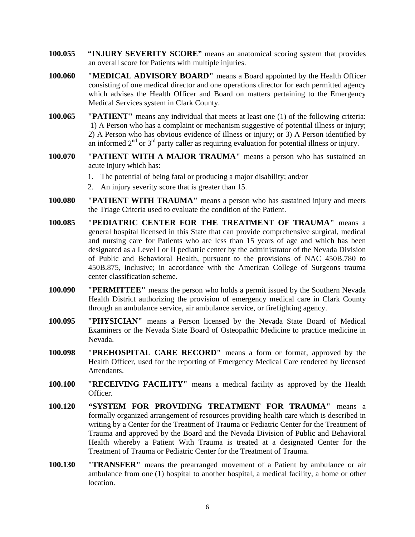- **100.055 "INJURY SEVERITY SCORE"** means an anatomical scoring system that provides an overall score for Patients with multiple injuries.
- **100.060 "MEDICAL ADVISORY BOARD"** means a Board appointed by the Health Officer consisting of one medical director and one operations director for each permitted agency which advises the Health Officer and Board on matters pertaining to the Emergency Medical Services system in Clark County.
- **100.065 "PATIENT"** means any individual that meets at least one (1) of the following criteria: 1) A Person who has a complaint or mechanism suggestive of potential illness or injury; 2) A Person who has obvious evidence of illness or injury; or 3) A Person identified by an informed  $2<sup>nd</sup>$  or  $3<sup>rd</sup>$  party caller as requiring evaluation for potential illness or injury.
- **100.070 "PATIENT WITH A MAJOR TRAUMA"** means a person who has sustained an acute injury which has:
	- 1. The potential of being fatal or producing a major disability; and/or
	- 2. An injury severity score that is greater than 15.
- **100.080 "PATIENT WITH TRAUMA"** means a person who has sustained injury and meets the Triage Criteria used to evaluate the condition of the Patient.
- **100.085 "PEDIATRIC CENTER FOR THE TREATMENT OF TRAUMA"** means a general hospital licensed in this State that can provide comprehensive surgical, medical and nursing care for Patients who are less than 15 years of age and which has been designated as a Level I or II pediatric center by the administrator of the Nevada Division of Public and Behavioral Health, pursuant to the provisions of NAC 450B.780 to 450B.875, inclusive; in accordance with the American College of Surgeons trauma center classification scheme.
- **100.090 "PERMITTEE"** means the person who holds a permit issued by the Southern Nevada Health District authorizing the provision of emergency medical care in Clark County through an ambulance service, air ambulance service, or firefighting agency.
- **100.095 "PHYSICIAN"** means a Person licensed by the Nevada State Board of Medical Examiners or the Nevada State Board of Osteopathic Medicine to practice medicine in Nevada.
- **100.098 "PREHOSPITAL CARE RECORD"** means a form or format, approved by the Health Officer, used for the reporting of Emergency Medical Care rendered by licensed Attendants.
- **100.100 "RECEIVING FACILITY"** means a medical facility as approved by the Health Officer.
- **100.120 "SYSTEM FOR PROVIDING TREATMENT FOR TRAUMA"** means a formally organized arrangement of resources providing health care which is described in writing by a Center for the Treatment of Trauma or Pediatric Center for the Treatment of Trauma and approved by the Board and the Nevada Division of Public and Behavioral Health whereby a Patient With Trauma is treated at a designated Center for the Treatment of Trauma or Pediatric Center for the Treatment of Trauma.
- **100.130 "TRANSFER"** means the prearranged movement of a Patient by ambulance or air ambulance from one (1) hospital to another hospital, a medical facility, a home or other location.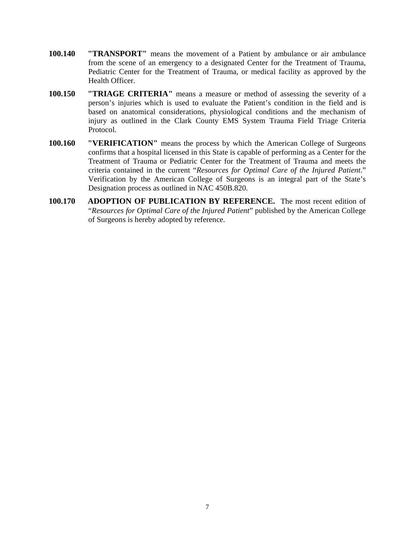- **100.140 "TRANSPORT"** means the movement of a Patient by ambulance or air ambulance from the scene of an emergency to a designated Center for the Treatment of Trauma, Pediatric Center for the Treatment of Trauma, or medical facility as approved by the Health Officer.
- **100.150 "TRIAGE CRITERIA"** means a measure or method of assessing the severity of a person's injuries which is used to evaluate the Patient's condition in the field and is based on anatomical considerations, physiological conditions and the mechanism of injury as outlined in the Clark County EMS System Trauma Field Triage Criteria Protocol.
- **100.160 "VERIFICATION"** means the process by which the American College of Surgeons confirms that a hospital licensed in this State is capable of performing as a Center for the Treatment of Trauma or Pediatric Center for the Treatment of Trauma and meets the criteria contained in the current "*Resources for Optimal Care of the Injured Patient*." Verification by the American College of Surgeons is an integral part of the State's Designation process as outlined in NAC 450B.820.
- **100.170 ADOPTION OF PUBLICATION BY REFERENCE.** The most recent edition of "*Resources for Optimal Care of the Injured Patient*" published by the American College of Surgeons is hereby adopted by reference.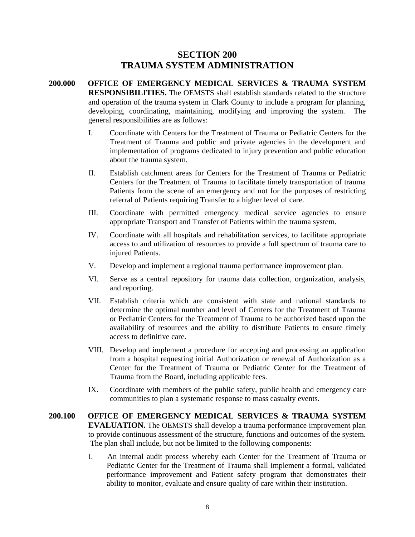#### **SECTION 200 TRAUMA SYSTEM ADMINISTRATION**

- **200.000 OFFICE OF EMERGENCY MEDICAL SERVICES & TRAUMA SYSTEM RESPONSIBILITIES.** The OEMSTS shall establish standards related to the structure and operation of the trauma system in Clark County to include a program for planning, developing, coordinating, maintaining, modifying and improving the system. The general responsibilities are as follows:
	- I. Coordinate with Centers for the Treatment of Trauma or Pediatric Centers for the Treatment of Trauma and public and private agencies in the development and implementation of programs dedicated to injury prevention and public education about the trauma system.
	- II. Establish catchment areas for Centers for the Treatment of Trauma or Pediatric Centers for the Treatment of Trauma to facilitate timely transportation of trauma Patients from the scene of an emergency and not for the purposes of restricting referral of Patients requiring Transfer to a higher level of care.
	- III. Coordinate with permitted emergency medical service agencies to ensure appropriate Transport and Transfer of Patients within the trauma system.
	- IV. Coordinate with all hospitals and rehabilitation services, to facilitate appropriate access to and utilization of resources to provide a full spectrum of trauma care to injured Patients.
	- V. Develop and implement a regional trauma performance improvement plan.
	- VI. Serve as a central repository for trauma data collection, organization, analysis, and reporting.
	- VII. Establish criteria which are consistent with state and national standards to determine the optimal number and level of Centers for the Treatment of Trauma or Pediatric Centers for the Treatment of Trauma to be authorized based upon the availability of resources and the ability to distribute Patients to ensure timely access to definitive care.
	- VIII. Develop and implement a procedure for accepting and processing an application from a hospital requesting initial Authorization or renewal of Authorization as a Center for the Treatment of Trauma or Pediatric Center for the Treatment of Trauma from the Board, including applicable fees.
	- IX. Coordinate with members of the public safety, public health and emergency care communities to plan a systematic response to mass casualty events.
- **200.100 OFFICE OF EMERGENCY MEDICAL SERVICES & TRAUMA SYSTEM EVALUATION.** The OEMSTS shall develop a trauma performance improvement plan to provide continuous assessment of the structure, functions and outcomes of the system. The plan shall include, but not be limited to the following components:
	- I. An internal audit process whereby each Center for the Treatment of Trauma or Pediatric Center for the Treatment of Trauma shall implement a formal, validated performance improvement and Patient safety program that demonstrates their ability to monitor, evaluate and ensure quality of care within their institution.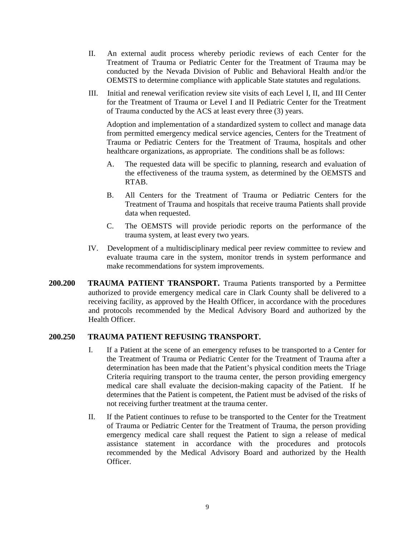- II. An external audit process whereby periodic reviews of each Center for the Treatment of Trauma or Pediatric Center for the Treatment of Trauma may be conducted by the Nevada Division of Public and Behavioral Health and/or the OEMSTS to determine compliance with applicable State statutes and regulations.
- III. Initial and renewal verification review site visits of each Level I, II, and III Center for the Treatment of Trauma or Level I and II Pediatric Center for the Treatment of Trauma conducted by the ACS at least every three (3) years.

Adoption and implementation of a standardized system to collect and manage data from permitted emergency medical service agencies, Centers for the Treatment of Trauma or Pediatric Centers for the Treatment of Trauma, hospitals and other healthcare organizations, as appropriate. The conditions shall be as follows:

- A. The requested data will be specific to planning, research and evaluation of the effectiveness of the trauma system, as determined by the OEMSTS and RTAB.
- B. All Centers for the Treatment of Trauma or Pediatric Centers for the Treatment of Trauma and hospitals that receive trauma Patients shall provide data when requested.
- C. The OEMSTS will provide periodic reports on the performance of the trauma system, at least every two years.
- IV. Development of a multidisciplinary medical peer review committee to review and evaluate trauma care in the system, monitor trends in system performance and make recommendations for system improvements.
- **200.200 TRAUMA PATIENT TRANSPORT.** Trauma Patients transported by a Permittee authorized to provide emergency medical care in Clark County shall be delivered to a receiving facility, as approved by the Health Officer, in accordance with the procedures and protocols recommended by the Medical Advisory Board and authorized by the Health Officer.

#### **200.250 TRAUMA PATIENT REFUSING TRANSPORT.**

- I. If a Patient at the scene of an emergency refuses to be transported to a Center for the Treatment of Trauma or Pediatric Center for the Treatment of Trauma after a determination has been made that the Patient's physical condition meets the Triage Criteria requiring transport to the trauma center, the person providing emergency medical care shall evaluate the decision-making capacity of the Patient. If he determines that the Patient is competent, the Patient must be advised of the risks of not receiving further treatment at the trauma center.
- II. If the Patient continues to refuse to be transported to the Center for the Treatment of Trauma or Pediatric Center for the Treatment of Trauma, the person providing emergency medical care shall request the Patient to sign a release of medical assistance statement in accordance with the procedures and protocols recommended by the Medical Advisory Board and authorized by the Health Officer.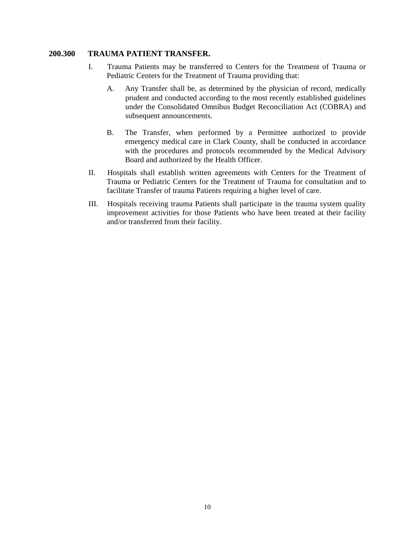#### **200.300 TRAUMA PATIENT TRANSFER.**

- I. Trauma Patients may be transferred to Centers for the Treatment of Trauma or Pediatric Centers for the Treatment of Trauma providing that:
	- A. Any Transfer shall be, as determined by the physician of record, medically prudent and conducted according to the most recently established guidelines under the Consolidated Omnibus Budget Reconciliation Act (COBRA) and subsequent announcements.
	- B. The Transfer, when performed by a Permittee authorized to provide emergency medical care in Clark County, shall be conducted in accordance with the procedures and protocols recommended by the Medical Advisory Board and authorized by the Health Officer.
- II. Hospitals shall establish written agreements with Centers for the Treatment of Trauma or Pediatric Centers for the Treatment of Trauma for consultation and to facilitate Transfer of trauma Patients requiring a higher level of care.
- III. Hospitals receiving trauma Patients shall participate in the trauma system quality improvement activities for those Patients who have been treated at their facility and/or transferred from their facility.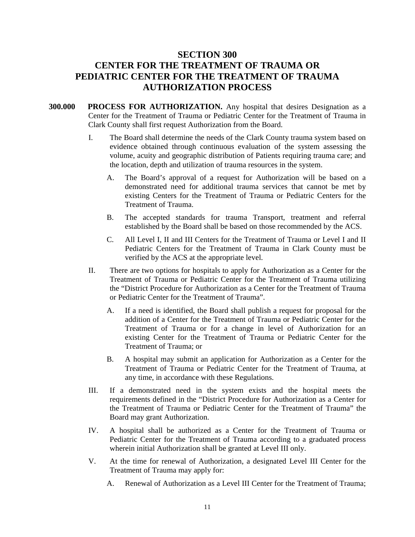# **SECTION 300 CENTER FOR THE TREATMENT OF TRAUMA OR PEDIATRIC CENTER FOR THE TREATMENT OF TRAUMA AUTHORIZATION PROCESS**

- **300.000 PROCESS FOR AUTHORIZATION.** Any hospital that desires Designation as a Center for the Treatment of Trauma or Pediatric Center for the Treatment of Trauma in Clark County shall first request Authorization from the Board.
	- I. The Board shall determine the needs of the Clark County trauma system based on evidence obtained through continuous evaluation of the system assessing the volume, acuity and geographic distribution of Patients requiring trauma care; and the location, depth and utilization of trauma resources in the system.
		- A. The Board's approval of a request for Authorization will be based on a demonstrated need for additional trauma services that cannot be met by existing Centers for the Treatment of Trauma or Pediatric Centers for the Treatment of Trauma.
		- B. The accepted standards for trauma Transport, treatment and referral established by the Board shall be based on those recommended by the ACS.
		- C. All Level I, II and III Centers for the Treatment of Trauma or Level I and II Pediatric Centers for the Treatment of Trauma in Clark County must be verified by the ACS at the appropriate level.
	- II. There are two options for hospitals to apply for Authorization as a Center for the Treatment of Trauma or Pediatric Center for the Treatment of Trauma utilizing the "District Procedure for Authorization as a Center for the Treatment of Trauma or Pediatric Center for the Treatment of Trauma".
		- A. If a need is identified, the Board shall publish a request for proposal for the addition of a Center for the Treatment of Trauma or Pediatric Center for the Treatment of Trauma or for a change in level of Authorization for an existing Center for the Treatment of Trauma or Pediatric Center for the Treatment of Trauma; or
		- B. A hospital may submit an application for Authorization as a Center for the Treatment of Trauma or Pediatric Center for the Treatment of Trauma, at any time, in accordance with these Regulations.
	- III. If a demonstrated need in the system exists and the hospital meets the requirements defined in the "District Procedure for Authorization as a Center for the Treatment of Trauma or Pediatric Center for the Treatment of Trauma" the Board may grant Authorization.
	- IV. A hospital shall be authorized as a Center for the Treatment of Trauma or Pediatric Center for the Treatment of Trauma according to a graduated process wherein initial Authorization shall be granted at Level III only.
	- V. At the time for renewal of Authorization, a designated Level III Center for the Treatment of Trauma may apply for:
		- A. Renewal of Authorization as a Level III Center for the Treatment of Trauma;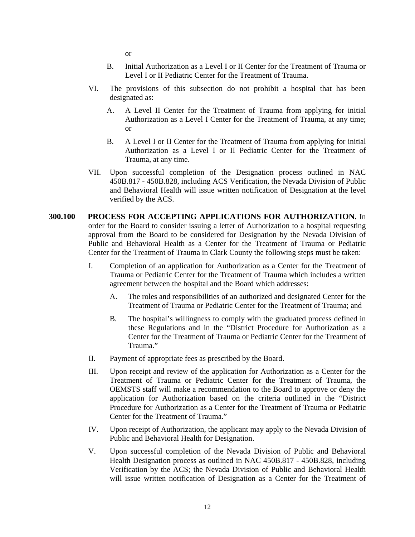or

- B. Initial Authorization as a Level I or II Center for the Treatment of Trauma or Level I or II Pediatric Center for the Treatment of Trauma.
- VI. The provisions of this subsection do not prohibit a hospital that has been designated as:
	- A. A Level II Center for the Treatment of Trauma from applying for initial Authorization as a Level I Center for the Treatment of Trauma, at any time; or
	- B. A Level I or II Center for the Treatment of Trauma from applying for initial Authorization as a Level I or II Pediatric Center for the Treatment of Trauma, at any time.
- VII. Upon successful completion of the Designation process outlined in NAC 450B.817 - 450B.828, including ACS Verification, the Nevada Division of Public and Behavioral Health will issue written notification of Designation at the level verified by the ACS.

#### **300.100 PROCESS FOR ACCEPTING APPLICATIONS FOR AUTHORIZATION.** In order for the Board to consider issuing a letter of Authorization to a hospital requesting approval from the Board to be considered for Designation by the Nevada Division of Public and Behavioral Health as a Center for the Treatment of Trauma or Pediatric Center for the Treatment of Trauma in Clark County the following steps must be taken:

- I. Completion of an application for Authorization as a Center for the Treatment of Trauma or Pediatric Center for the Treatment of Trauma which includes a written agreement between the hospital and the Board which addresses:
	- A. The roles and responsibilities of an authorized and designated Center for the Treatment of Trauma or Pediatric Center for the Treatment of Trauma; and
	- B. The hospital's willingness to comply with the graduated process defined in these Regulations and in the "District Procedure for Authorization as a Center for the Treatment of Trauma or Pediatric Center for the Treatment of Trauma."
- II. Payment of appropriate fees as prescribed by the Board.
- III. Upon receipt and review of the application for Authorization as a Center for the Treatment of Trauma or Pediatric Center for the Treatment of Trauma, the OEMSTS staff will make a recommendation to the Board to approve or deny the application for Authorization based on the criteria outlined in the "District Procedure for Authorization as a Center for the Treatment of Trauma or Pediatric Center for the Treatment of Trauma."
- IV. Upon receipt of Authorization, the applicant may apply to the Nevada Division of Public and Behavioral Health for Designation.
- V. Upon successful completion of the Nevada Division of Public and Behavioral Health Designation process as outlined in NAC 450B.817 - 450B.828, including Verification by the ACS; the Nevada Division of Public and Behavioral Health will issue written notification of Designation as a Center for the Treatment of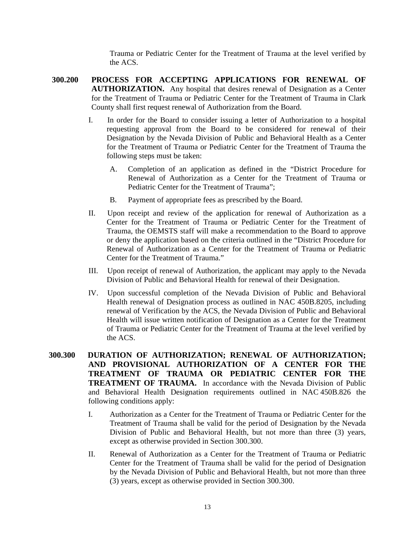Trauma or Pediatric Center for the Treatment of Trauma at the level verified by the ACS.

- **300.200 PROCESS FOR ACCEPTING APPLICATIONS FOR RENEWAL OF AUTHORIZATION.** Any hospital that desires renewal of Designation as a Center for the Treatment of Trauma or Pediatric Center for the Treatment of Trauma in Clark County shall first request renewal of Authorization from the Board.
	- I. In order for the Board to consider issuing a letter of Authorization to a hospital requesting approval from the Board to be considered for renewal of their Designation by the Nevada Division of Public and Behavioral Health as a Center for the Treatment of Trauma or Pediatric Center for the Treatment of Trauma the following steps must be taken:
		- A. Completion of an application as defined in the "District Procedure for Renewal of Authorization as a Center for the Treatment of Trauma or Pediatric Center for the Treatment of Trauma";
		- B. Payment of appropriate fees as prescribed by the Board.
	- II. Upon receipt and review of the application for renewal of Authorization as a Center for the Treatment of Trauma or Pediatric Center for the Treatment of Trauma, the OEMSTS staff will make a recommendation to the Board to approve or deny the application based on the criteria outlined in the "District Procedure for Renewal of Authorization as a Center for the Treatment of Trauma or Pediatric Center for the Treatment of Trauma."
	- III. Upon receipt of renewal of Authorization, the applicant may apply to the Nevada Division of Public and Behavioral Health for renewal of their Designation.
	- IV. Upon successful completion of the Nevada Division of Public and Behavioral Health renewal of Designation process as outlined in NAC 450B.8205, including renewal of Verification by the ACS, the Nevada Division of Public and Behavioral Health will issue written notification of Designation as a Center for the Treatment of Trauma or Pediatric Center for the Treatment of Trauma at the level verified by the ACS.
- **300.300 DURATION OF AUTHORIZATION; RENEWAL OF AUTHORIZATION; AND PROVISIONAL AUTHORIZATION OF A CENTER FOR THE TREATMENT OF TRAUMA OR PEDIATRIC CENTER FOR THE TREATMENT OF TRAUMA.** In accordance with the Nevada Division of Public and Behavioral Health Designation requirements outlined in NAC 450B.826 the following conditions apply:
	- I. Authorization as a Center for the Treatment of Trauma or Pediatric Center for the Treatment of Trauma shall be valid for the period of Designation by the Nevada Division of Public and Behavioral Health, but not more than three (3) years, except as otherwise provided in Section 300.300.
	- II. Renewal of Authorization as a Center for the Treatment of Trauma or Pediatric Center for the Treatment of Trauma shall be valid for the period of Designation by the Nevada Division of Public and Behavioral Health, but not more than three (3) years, except as otherwise provided in Section 300.300.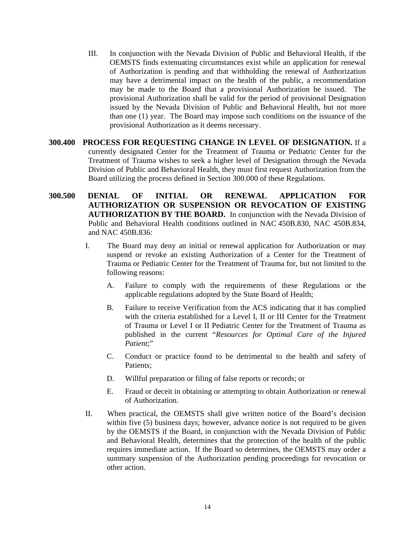- III. In conjunction with the Nevada Division of Public and Behavioral Health, if the OEMSTS finds extenuating circumstances exist while an application for renewal of Authorization is pending and that withholding the renewal of Authorization may have a detrimental impact on the health of the public, a recommendation may be made to the Board that a provisional Authorization be issued. The provisional Authorization shall be valid for the period of provisional Designation issued by the Nevada Division of Public and Behavioral Health, but not more than one (1) year. The Board may impose such conditions on the issuance of the provisional Authorization as it deems necessary.
- **300.400 PROCESS FOR REQUESTING CHANGE IN LEVEL OF DESIGNATION.** If a currently designated Center for the Treatment of Trauma or Pediatric Center for the Treatment of Trauma wishes to seek a higher level of Designation through the Nevada Division of Public and Behavioral Health, they must first request Authorization from the Board utilizing the process defined in Section 300.000 of these Regulations.
- **300.500 DENIAL OF INITIAL OR RENEWAL APPLICATION FOR AUTHORIZATION OR SUSPENSION OR REVOCATION OF EXISTING AUTHORIZATION BY THE BOARD.** In conjunction with the Nevada Division of Public and Behavioral Health conditions outlined in NAC 450B.830, NAC 450B.834, and NAC 450B.836:
	- I. The Board may deny an initial or renewal application for Authorization or may suspend or revoke an existing Authorization of a Center for the Treatment of Trauma or Pediatric Center for the Treatment of Trauma for, but not limited to the following reasons:
		- A. Failure to comply with the requirements of these Regulations or the applicable regulations adopted by the State Board of Health;
		- B. Failure to receive Verification from the ACS indicating that it has complied with the criteria established for a Level I, II or III Center for the Treatment of Trauma or Level I or II Pediatric Center for the Treatment of Trauma as published in the current "*Resources for Optimal Care of the Injured Patient*;"
		- C. Conduct or practice found to be detrimental to the health and safety of Patients;
		- D. Willful preparation or filing of false reports or records; or
		- E. Fraud or deceit in obtaining or attempting to obtain Authorization or renewal of Authorization.
	- II. When practical, the OEMSTS shall give written notice of the Board's decision within five (5) business days; however, advance notice is not required to be given by the OEMSTS if the Board, in conjunction with the Nevada Division of Public and Behavioral Health, determines that the protection of the health of the public requires immediate action. If the Board so determines, the OEMSTS may order a summary suspension of the Authorization pending proceedings for revocation or other action.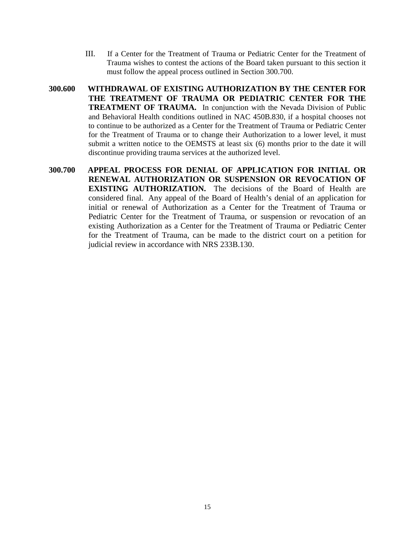- III. If a Center for the Treatment of Trauma or Pediatric Center for the Treatment of Trauma wishes to contest the actions of the Board taken pursuant to this section it must follow the appeal process outlined in Section 300.700.
- **300.600 WITHDRAWAL OF EXISTING AUTHORIZATION BY THE CENTER FOR THE TREATMENT OF TRAUMA OR PEDIATRIC CENTER FOR THE TREATMENT OF TRAUMA.** In conjunction with the Nevada Division of Public and Behavioral Health conditions outlined in NAC 450B.830, if a hospital chooses not to continue to be authorized as a Center for the Treatment of Trauma or Pediatric Center for the Treatment of Trauma or to change their Authorization to a lower level, it must submit a written notice to the OEMSTS at least six (6) months prior to the date it will discontinue providing trauma services at the authorized level.
- **300.700 APPEAL PROCESS FOR DENIAL OF APPLICATION FOR INITIAL OR RENEWAL AUTHORIZATION OR SUSPENSION OR REVOCATION OF EXISTING AUTHORIZATION.** The decisions of the Board of Health are considered final. Any appeal of the Board of Health's denial of an application for initial or renewal of Authorization as a Center for the Treatment of Trauma or Pediatric Center for the Treatment of Trauma, or suspension or revocation of an existing Authorization as a Center for the Treatment of Trauma or Pediatric Center for the Treatment of Trauma, can be made to the district court on a petition for judicial review in accordance with NRS 233B.130.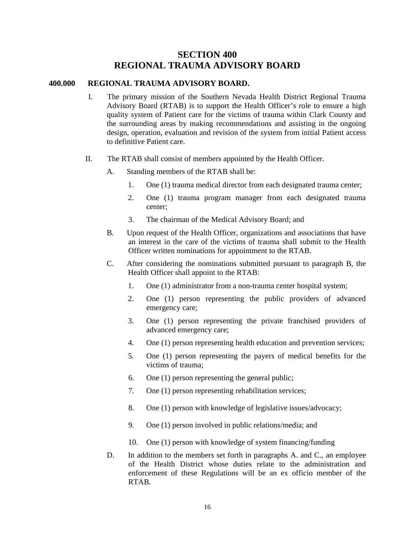## **SECTION 400 REGIONAL TRAUMA ADVISORY BOARD**

#### **400.000 REGIONAL TRAUMA ADVISORY BOARD.**

- I. The primary mission of the Southern Nevada Health District Regional Trauma Advisory Board (RTAB) is to support the Health Officer's role to ensure a high quality system of Patient care for the victims of trauma within Clark County and the surrounding areas by making recommendations and assisting in the ongoing design, operation, evaluation and revision of the system from initial Patient access to definitive Patient care.
- II. The RTAB shall consist of members appointed by the Health Officer.
	- A. Standing members of the RTAB shall be:
		- 1. One (1) trauma medical director from each designated trauma center;
		- 2. One (1) trauma program manager from each designated trauma center;
		- 3. The chairman of the Medical Advisory Board; and
	- B. Upon request of the Health Officer, organizations and associations that have an interest in the care of the victims of trauma shall submit to the Health Officer written nominations for appointment to the RTAB.
	- C. After considering the nominations submitted pursuant to paragraph B, the Health Officer shall appoint to the RTAB:
		- 1. One (1) administrator from a non-trauma center hospital system;
		- 2. One (1) person representing the public providers of advanced emergency care;
		- 3. One (1) person representing the private franchised providers of advanced emergency care;
		- 4. One (1) person representing health education and prevention services;
		- 5. One (1) person representing the payers of medical benefits for the victims of trauma;
		- 6. One (1) person representing the general public;
		- 7. One (1) person representing rehabilitation services;
		- 8. One (1) person with knowledge of legislative issues/advocacy;
		- 9. One (1) person involved in public relations/media; and
		- 10. One (1) person with knowledge of system financing/funding
	- D. In addition to the members set forth in paragraphs A. and C., an employee of the Health District whose duties relate to the administration and enforcement of these Regulations will be an ex officio member of the RTAB.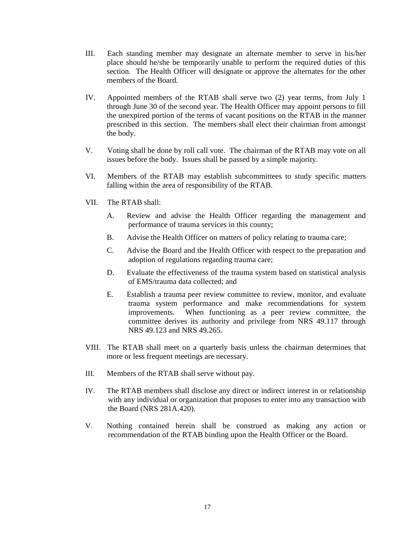- III. Each standing member may designate an alternate member to serve in his/her place should he/she be temporarily unable to perform the required duties of this section. The Health Officer will designate or approve the alternates for the other members of the Board.
- IV. Appointed members of the RTAB shall serve two (2) year terms, from July 1 through June 30 of the second year. The Health Officer may appoint persons to fill the unexpired portion of the terms of vacant positions on the RTAB in the manner prescribed in this section. The members shall elect their chairman from amongst the body.
- V. Voting shall be done by roll call vote. The chairman of the RTAB may vote on all issues before the body. Issues shall be passed by a simple majority.
- VI. Members of the RTAB may establish subcommittees to study specific matters falling within the area of responsibility of the RTAB.
- VII. The RTAB shall:
	- A. Review and advise the Health Officer regarding the management and performance of trauma services in this county;
	- B. Advise the Health Officer on matters of policy relating to trauma care;
	- C. Advise the Board and the Health Officer with respect to the preparation and adoption of regulations regarding trauma care;
	- D. Evaluate the effectiveness of the trauma system based on statistical analysis of EMS/trauma data collected; and
	- E. Establish a trauma peer review committee to review, monitor, and evaluate trauma system performance and make recommendations for system improvements. When functioning as a peer review committee, the committee derives its authority and privilege from NRS 49.117 through NRS 49.123 and NRS 49.265.
- VIII. The RTAB shall meet on a quarterly basis unless the chairman determines that more or less frequent meetings are necessary.
- III. Members of the RTAB shall serve without pay.
- IV. The RTAB members shall disclose any direct or indirect interest in or relationship with any individual or organization that proposes to enter into any transaction with the Board (NRS 281A.420).
- V. Nothing contained herein shall be construed as making any action or recommendation of the RTAB binding upon the Health Officer or the Board.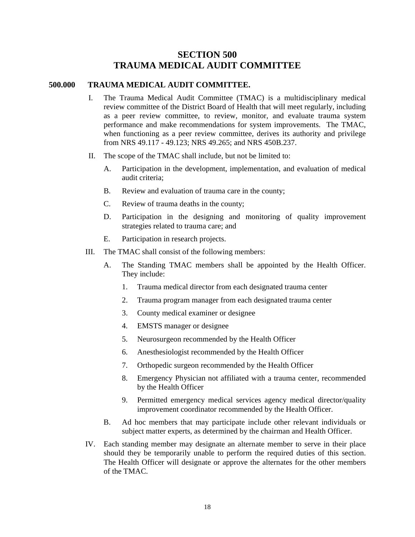## **SECTION 500 TRAUMA MEDICAL AUDIT COMMITTEE**

#### **500.000 TRAUMA MEDICAL AUDIT COMMITTEE.**

- I. The Trauma Medical Audit Committee (TMAC) is a multidisciplinary medical review committee of the District Board of Health that will meet regularly, including as a peer review committee, to review, monitor, and evaluate trauma system performance and make recommendations for system improvements. The TMAC, when functioning as a peer review committee, derives its authority and privilege from NRS 49.117 - 49.123; NRS 49.265; and NRS 450B.237.
- II. The scope of the TMAC shall include, but not be limited to:
	- A. Participation in the development, implementation, and evaluation of medical audit criteria;
	- B. Review and evaluation of trauma care in the county;
	- C. Review of trauma deaths in the county;
	- D. Participation in the designing and monitoring of quality improvement strategies related to trauma care; and
	- E. Participation in research projects.
- III. The TMAC shall consist of the following members:
	- A. The Standing TMAC members shall be appointed by the Health Officer. They include:
		- 1. Trauma medical director from each designated trauma center
		- 2. Trauma program manager from each designated trauma center
		- 3. County medical examiner or designee
		- 4. EMSTS manager or designee
		- 5. Neurosurgeon recommended by the Health Officer
		- 6. Anesthesiologist recommended by the Health Officer
		- 7. Orthopedic surgeon recommended by the Health Officer
		- 8. Emergency Physician not affiliated with a trauma center, recommended by the Health Officer
		- 9. Permitted emergency medical services agency medical director/quality improvement coordinator recommended by the Health Officer.
	- B. Ad hoc members that may participate include other relevant individuals or subject matter experts, as determined by the chairman and Health Officer.
- IV. Each standing member may designate an alternate member to serve in their place should they be temporarily unable to perform the required duties of this section. The Health Officer will designate or approve the alternates for the other members of the TMAC.